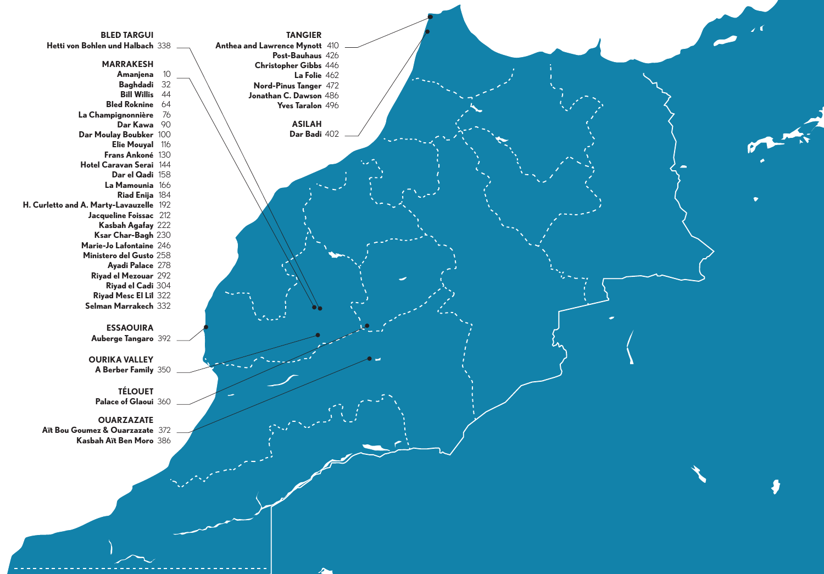